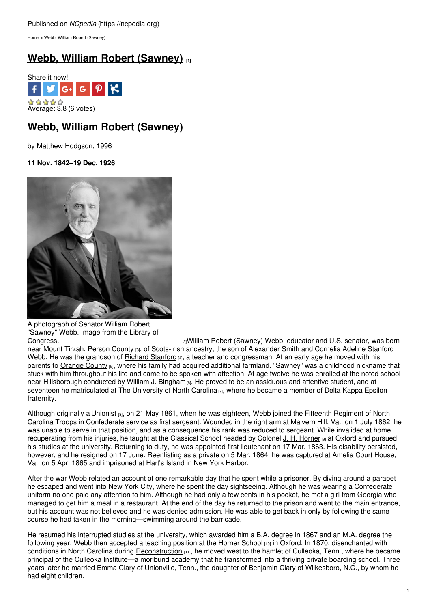[Home](https://ncpedia.org/) > Webb, William Robert (Sawney)

# **Webb, William Robert [\(Sawney\)](https://ncpedia.org/biography/webb-william-robert) [1]**



# **Webb, William Robert (Sawney)**

by Matthew Hodgson, 1996

**11 Nov. 1842–19 Dec. 1926**



A photograph of Senator William Robert "Sawney" Webb. Image from the Library of

[Congress.](http://www.loc.gov/pictures/item/hec2009008524/) [2]William Robert (Sawney) Webb, educator and U.S. senator, was born near Mount Tirzah, [Person](https://ncpedia.org/geography/person) County [3], of Scots-Irish ancestry, the son of Alexander Smith and Cornelia Adeline Stanford Webb. He was the grandson of Richard [Stanford](https://ncpedia.org/biography/stanford-richard) [4], a teacher and congressman. At an early age he moved with his parents to [Orange](https://ncpedia.org/geography/orange) County [5], where his family had acquired additional farmland. "Sawney" was a childhood nickname that stuck with him throughout his life and came to be spoken with affection. At age twelve he was enrolled at the noted school near Hillsborough conducted by William J. [Bingham](https://ncpedia.org/biography/bingham-william-james) [6]. He proved to be an assiduous and attentive student, and at seventeen he matriculated at The [University](https://ncpedia.org/university-north-carolina-chapel-hi) of North Carolina [7], where he became a member of Delta Kappa Epsilon fraternity.

Although originally a [Unionist](https://ncpedia.org/unionists) [8], on 21 May 1861, when he was eighteen, Webb joined the Fifteenth Regiment of North Carolina Troops in Confederate service as first sergeant. Wounded in the right arm at Malvern Hill, Va., on 1 July 1862, he was unable to serve in that position, and as a consequence his rank was reduced to sergeant. While invalided at home recuperating from his injuries, he taught at the Classical School headed by Colonel J. H. [Horner](https://ncpedia.org/biography/horner-james-hunter) [9] at Oxford and pursued his studies at the university. Returning to duty, he was appointed first lieutenant on 17 Mar. 1863. His disability persisted, however, and he resigned on 17 June. Reenlisting as a private on 5 Mar. 1864, he was captured at Amelia Court House, Va., on 5 Apr. 1865 and imprisoned at Hart's Island in New York Harbor.

After the war Webb related an account of one remarkable day that he spent while a prisoner. By diving around a parapet he escaped and went into New York City, where he spent the day sightseeing. Although he was wearing a Confederate uniform no one paid any attention to him. Although he had only a few cents in his pocket, he met a girl from Georgia who managed to get him a meal in a restaurant. At the end of the day he returned to the prison and went to the main entrance, but his account was not believed and he was denied admission. He was able to get back in only by following the same course he had taken in the morning—swimming around the barricade.

He resumed his interrupted studies at the university, which awarded him a B.A. degree in 1867 and an M.A. degree the following year. Webb then accepted a teaching position at the [Horner](https://ncpedia.org/horner-school) School  $[10]$  in Oxford. In 1870, disenchanted with conditions in North Carolina during [Reconstruction](https://ncpedia.org/reconstruction) [11], he moved west to the hamlet of Culleoka, Tenn., where he became principal of the Culleoka Institute—a moribund academy that he transformed into a thriving private boarding school. Three years later he married Emma Clary of Unionville, Tenn., the daughter of Benjamin Clary of Wilkesboro, N.C., by whom he had eight children.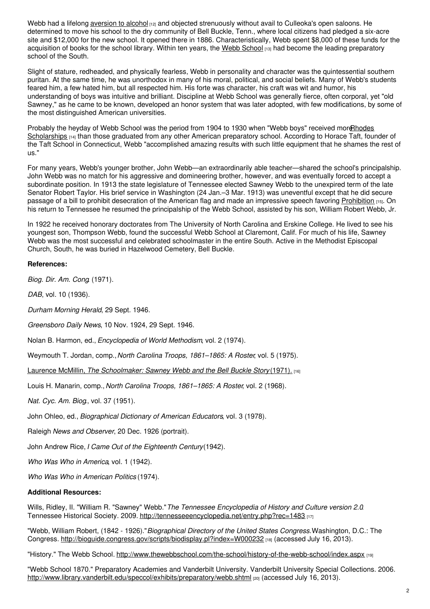Webb had a lifelong [aversion](https://ncpedia.org/temperance-movement) to alcohol [12] and objected strenuously without avail to Culleoka's open saloons. He determined to move his school to the dry community of Bell Buckle, Tenn., where local citizens had pledged a six-acre site and \$12,000 for the new school. It opened there in 1886. Characteristically, Webb spent \$8,000 of these funds for the acquisition of books for the school library. Within ten years, the Webb [School](http://www.thewebbschool.com) [13] had become the leading preparatory school of the South.

Slight of stature, redheaded, and physically fearless, Webb in personality and character was the quintessential southern puritan. At the same time, he was unorthodox in many of his moral, political, and social beliefs. Many of Webb's students feared him, a few hated him, but all respected him. His forte was character, his craft was wit and humor, his understanding of boys was intuitive and brilliant. Discipline at Webb School was generally fierce, often corporal, yet "old Sawney," as he came to be known, developed an honor system that was later adopted, with few modifications, by some of the most distinguished American universities.

Probably the heyday of Webb School was the period from 1904 to 1930 when "Webb boys" received more Rhodes [Scholarships](http://www.rhodesscholar.org) [14] than those graduated from any other American preparatory school. According to Horace Taft, founder of the Taft School in Connecticut, Webb "accomplished amazing results with such little equipment that he shames the rest of us."

For many years, Webb's younger brother, John Webb—an extraordinarily able teacher—shared the school's principalship. John Webb was no match for his aggressive and domineering brother, however, and was eventually forced to accept a subordinate position. In 1913 the state legislature of Tennessee elected Sawney Webb to the unexpired term of the late Senator Robert Taylor. His brief service in Washington (24 Jan.–3 Mar. 1913) was uneventful except that he did secure passage of a bill to prohibit desecration of the American flag and made an impressive speech favoring [Prohibition](https://ncpedia.org/prohibition) [15]. On his return to Tennessee he resumed the principalship of the Webb School, assisted by his son, William Robert Webb, Jr.

In 1922 he received honorary doctorates from The University of North Carolina and Erskine College. He lived to see his youngest son, Thompson Webb, found the successful Webb School at Claremont, Calif. For much of his life, Sawney Webb was the most successful and celebrated schoolmaster in the entire South. Active in the Methodist Episcopal Church, South, he was buried in Hazelwood Cemetery, Bell Buckle.

## **References:**

*Biog. Dir. Am. Cong*. (1971).

*DAB*, vol. 10 (1936).

*Durham Morning Herald*, 29 Sept. 1946.

*Greensboro Daily News*, 10 Nov. 1924, 29 Sept. 1946.

Nolan B. Harmon, ed., *Encyclopedia of World Methodism*, vol. 2 (1974).

Weymouth T. Jordan, comp.,*North Carolina Troops, 1861–1865: A Roster*, vol. 5 (1975).

Laurence McMillin, *The [Schoolmaker:](http://books.google.com/books?id=6HQKAAAAMAAJ) Sawney Webb and the Bell Buckle Story* (1971). [16]

Louis H. Manarin, comp., *North Carolina Troops, 1861–1865: A Roster*, vol. 2 (1968).

*Nat. Cyc. Am. Biog*., vol. 37 (1951).

John Ohleo, ed., *Biographical Dictionary of American Educators*, vol. 3 (1978).

Raleigh *News and Observer*, 20 Dec. 1926 (portrait).

John Andrew Rice, *I Came Out of the Eighteenth Century*(1942).

*Who Was Who in America*, vol. 1 (1942).

*Who Was Who in American Politics* (1974).

### **Additional Resources:**

Wills, Ridley, II. "William R. "Sawney" Webb."*The Tennessee Encyclopedia of History and Culture version 2.0*. Tennessee Historical Society. 2009. <http://tennesseeencyclopedia.net/entry.php?rec=1483> [17]

"Webb, William Robert, (1842 - 1926)."*Biographical Directory of the United States Congress.*Washington, D.C.: The Congress. <http://bioguide.congress.gov/scripts/biodisplay.pl?index=W000232> [18] (accessed July 16, 2013).

"History." The Webb School. <http://www.thewebbschool.com/the-school/history-of-the-webb-school/index.aspx> [19]

"Webb School 1870." Preparatory Academies and Vanderbilt University. Vanderbilt University Special Collections. 2006. <http://www.library.vanderbilt.edu/speccol/exhibits/preparatory/webb.shtml> [20] (accessed July 16, 2013).